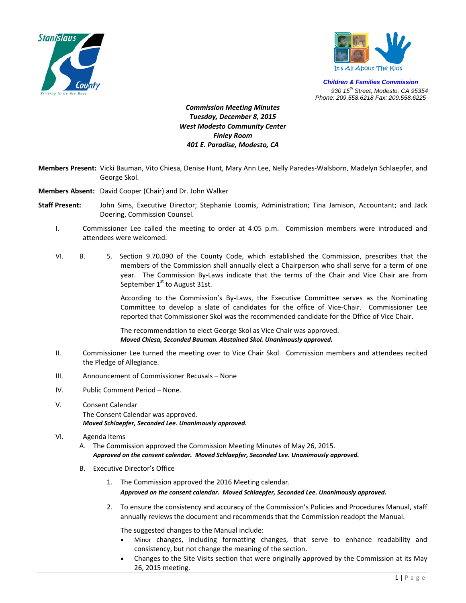



*Children & Families Commission 930 15th Street, Modesto, CA 95354 Phone: 209.558.6218 Fax: 209.558.6225*

## *Commission Meeting Minutes Tuesday, December 8, 2015 West Modesto Community Center Finley Room 401 E. Paradise, Modesto, CA*

- **Members Present:** Vicki Bauman, Vito Chiesa, Denise Hunt, Mary Ann Lee, Nelly Paredes‐Walsborn, Madelyn Schlaepfer, and George Skol.
- **Members Absent:** David Cooper (Chair) and Dr. John Walker
- **Staff Present:** John Sims, Executive Director; Stephanie Loomis, Administration; Tina Jamison, Accountant; and Jack Doering, Commission Counsel.
	- I. Commissioner Lee called the meeting to order at 4:05 p.m. Commission members were introduced and attendees were welcomed.
	- VI. B. 5. Section 9.70.090 of the County Code, which established the Commission, prescribes that the members of the Commission shall annually elect a Chairperson who shall serve for a term of one year. The Commission By-Laws indicate that the terms of the Chair and Vice Chair are from September  $1<sup>st</sup>$  to August 31st.

According to the Commission's By‐Laws, the Executive Committee serves as the Nominating Committee to develop a slate of candidates for the office of Vice-Chair. Commissioner Lee reported that Commissioner Skol was the recommended candidate for the Office of Vice Chair.

The recommendation to elect George Skol as Vice Chair was approved. *Moved Chiesa, Seconded Bauman. Abstained Skol. Unanimously approved.* 

- II. Commissioner Lee turned the meeting over to Vice Chair Skol. Commission members and attendees recited the Pledge of Allegiance.
- III. Announcement of Commissioner Recusals None
- IV. Public Comment Period None.
- V. Consent Calendar The Consent Calendar was approved. *Moved Schlaepfer, Seconded Lee. Unanimously approved.*

## VI. Agenda Items

- A. The Commission approved the Commission Meeting Minutes of May 26, 2015. *Approved on the consent calendar. Moved Schlaepfer, Seconded Lee. Unanimously approved.*
- B. Executive Director's Office
	- 1. The Commission approved the 2016 Meeting calendar. *Approved on the consent calendar. Moved Schlaepfer, Seconded Lee. Unanimously approved.*
	- 2. To ensure the consistency and accuracy of the Commission's Policies and Procedures Manual, staff annually reviews the document and recommends that the Commission readopt the Manual.

The suggested changes to the Manual include:

- Minor changes, including formatting changes, that serve to enhance readability and consistency, but not change the meaning of the section.
- Changes to the Site Visits section that were originally approved by the Commission at its May 26, 2015 meeting.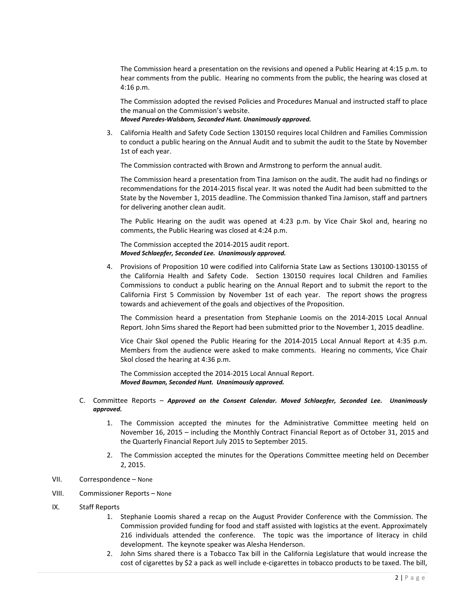The Commission heard a presentation on the revisions and opened a Public Hearing at 4:15 p.m. to hear comments from the public. Hearing no comments from the public, the hearing was closed at 4:16 p.m.

The Commission adopted the revised Policies and Procedures Manual and instructed staff to place the manual on the Commission's website.

*Moved Paredes‐Walsborn, Seconded Hunt. Unanimously approved.* 

3. California Health and Safety Code Section 130150 requires local Children and Families Commission to conduct a public hearing on the Annual Audit and to submit the audit to the State by November 1st of each year.

The Commission contracted with Brown and Armstrong to perform the annual audit.

The Commission heard a presentation from Tina Jamison on the audit. The audit had no findings or recommendations for the 2014‐2015 fiscal year. It was noted the Audit had been submitted to the State by the November 1, 2015 deadline. The Commission thanked Tina Jamison, staff and partners for delivering another clean audit.

The Public Hearing on the audit was opened at 4:23 p.m. by Vice Chair Skol and, hearing no comments, the Public Hearing was closed at 4:24 p.m.

The Commission accepted the 2014‐2015 audit report. *Moved Schlaepfer, Seconded Lee. Unanimously approved.* 

4. Provisions of Proposition 10 were codified into California State Law as Sections 130100‐130155 of the California Health and Safety Code. Section 130150 requires local Children and Families Commissions to conduct a public hearing on the Annual Report and to submit the report to the California First 5 Commission by November 1st of each year. The report shows the progress towards and achievement of the goals and objectives of the Proposition.

The Commission heard a presentation from Stephanie Loomis on the 2014‐2015 Local Annual Report. John Sims shared the Report had been submitted prior to the November 1, 2015 deadline.

Vice Chair Skol opened the Public Hearing for the 2014‐2015 Local Annual Report at 4:35 p.m. Members from the audience were asked to make comments. Hearing no comments, Vice Chair Skol closed the hearing at 4:36 p.m.

The Commission accepted the 2014‐2015 Local Annual Report. *Moved Bauman, Seconded Hunt. Unanimously approved.*

- C. Committee Reports *Approved on the Consent Calendar. Moved Schlaepfer, Seconded Lee. Unanimously approved.*
	- 1. The Commission accepted the minutes for the Administrative Committee meeting held on November 16, 2015 – including the Monthly Contract Financial Report as of October 31, 2015 and the Quarterly Financial Report July 2015 to September 2015.
	- 2. The Commission accepted the minutes for the Operations Committee meeting held on December 2, 2015.
- VII. Correspondence None
- VIII. Commissioner Reports None
- IX. Staff Reports
	- 1. Stephanie Loomis shared a recap on the August Provider Conference with the Commission. The Commission provided funding for food and staff assisted with logistics at the event. Approximately 216 individuals attended the conference. The topic was the importance of literacy in child development. The keynote speaker was Alesha Henderson.
	- 2. John Sims shared there is a Tobacco Tax bill in the California Legislature that would increase the cost of cigarettes by \$2 a pack as well include e‐cigarettes in tobacco products to be taxed. The bill,